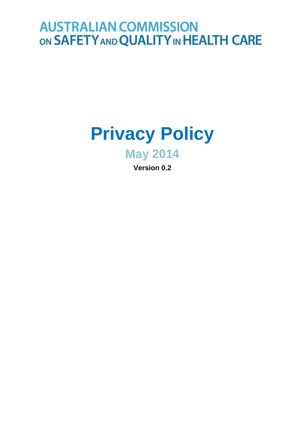# **AUSTRALIAN COMMISSION** ON SAFETY AND QUALITY IN HEALTH CARE

# **Privacy Policy**

**May 2014**

**Version 0.2**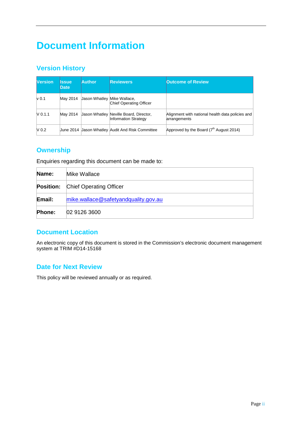## **Document Information**

## **Version History**

| <b>Version</b> | Issue<br><b>Date</b> | <b>Author</b>               | <b>Reviewers</b>                                                      | <b>Outcome of Review</b>                                         |
|----------------|----------------------|-----------------------------|-----------------------------------------------------------------------|------------------------------------------------------------------|
| $\vee$ 0.1     | Mav 2014             | Jason Whatley Mike Wallace, | Chief Operating Officer                                               |                                                                  |
| $V$ 0.1.1      | Mav 2014             |                             | Jason Whatley Neville Board, Director,<br><b>Information Strategy</b> | Alignment with national health data policies and<br>arrangements |
| $N_{0.2}$      |                      |                             | Uune 2014 Uason Whatley Audit And Risk Committee                      | Approved by the Board $(7th$ August 2014)                        |

## **Ownership**

Enquiries regarding this document can be made to:

| Name:         | Mike Wallace                             |  |  |  |
|---------------|------------------------------------------|--|--|--|
|               | <b>Position:</b> Chief Operating Officer |  |  |  |
| Email:        | mike.wallace@safetyandquality.gov.au     |  |  |  |
| <b>Phone:</b> | 02 9126 3600                             |  |  |  |

### **Document Location**

An electronic copy of this document is stored in the Commission's electronic document management system at TRIM #D14-15168

## **Date for Next Review**

This policy will be reviewed annually or as required.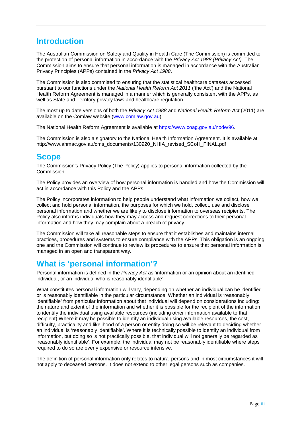## **Introduction**

The Australian Commission on Safety and Quality in Health Care (The Commission) is committed to the protection of personal information in accordance with the *Privacy Act 1988 (Privacy Act)*. The Commission aims to ensure that personal information is managed in accordance with the Australian Privacy Principles (APPs) contained in the *Privacy Act 1988*.

The Commission is also committed to ensuring that the statistical healthcare datasets accessed pursuant to our functions under the *National Health Reform Act 2011* ('the Act') and the National Health Reform Agreement is managed in a manner which is generally consistent with the APPs, as well as State and Territory privacy laws and healthcare regulation.

The most up to date versions of both the *Privacy Act 1988* and *National Health Reform Act* (2011) are available on the Comlaw website [\(www.comlaw.gov.au\)](http://www.comlaw.gov.au/).

The National Health Reform Agreement is available at [https://www.coag.gov.au/node/96.](https://www.coag.gov.au/node/96)

The Commission is also a signatory to the National Health Information Agreement. It is available at http://www.ahmac.gov.au/cms\_documents/130920\_NHIA\_revised\_SCoH\_FINAL.pdf

## **Scope**

The Commission's Privacy Policy (The Policy) applies to personal information collected by the Commission.

The Policy provides an overview of how personal information is handled and how the Commission will act in accordance with this Policy and the APPs.

The Policy incorporates information to help people understand what information we collect, how we collect and hold personal information, the purposes for which we hold, collect, use and disclose personal information and whether we are likely to disclose information to overseas recipients. The Policy also informs individuals how they may access and request corrections to their personal information and how they may complain about a breach of privacy.

The Commission will take all reasonable steps to ensure that it establishes and maintains internal practices, procedures and systems to ensure compliance with the APPs. This obligation is an ongoing one and the Commission will continue to review its procedures to ensure that personal information is managed in an open and transparent way.

## **What is 'personal information'?**

Personal information is defined in the *Privacy Act* as 'information or an opinion about an identified individual, or an individual who is reasonably identifiable'.

What constitutes personal information will vary, depending on whether an individual can be identified or is reasonably identifiable in the particular circumstance. Whether an individual is 'reasonably identifiable' from particular information about that individual will depend on considerations including: the nature and extent of the information and whether it is possible for the recipient of the information to identify the individual using available resources (including other information available to that recipient).Where it may be possible to identify an individual using available resources, the cost, difficulty, practicality and likelihood of a person or entity doing so will be relevant to deciding whether an individual is 'reasonably identifiable'. Where it is technically possible to identify an individual from information, but doing so is not practically possible, that individual will not generally be regarded as 'reasonably identifiable'. For example, the individual may not be reasonably identifiable where steps required to do so are overly expensive or resource intensive.

The definition of personal information only relates to natural persons and in most circumstances it will not apply to deceased persons. It does not extend to other legal persons such as companies.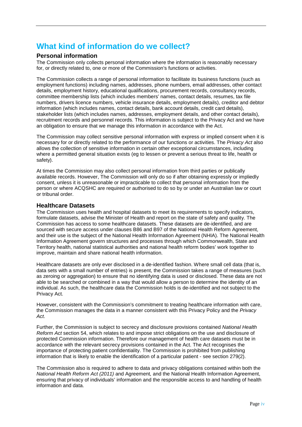## **What kind of information do we collect?**

#### **Personal information**

The Commission only collects personal information where the information is reasonably necessary for, or directly related to, one or more of the Commission's functions or activities.

The Commission collects a range of personal information to facilitate its business functions (such as employment functions) including names, addresses, phone numbers, email addresses, other contact details, employment history, educational qualifications, procurement records, consultancy records, committee membership lists (which includes members' names, contact details, resumes, tax file numbers, drivers licence numbers, vehicle insurance details, employment details), creditor and debtor information (which includes names, contact details, bank account details, credit card details), stakeholder lists (which includes names, addresses, employment details, and other contact details), recruitment records and personnel records. This information is subject to the Privacy Act and we have an obligation to ensure that we manage this information in accordance with the Act.

The Commission may collect sensitive personal information with express or implied consent when it is necessary for or directly related to the performance of our functions or activities. The *Privacy Act* also allows the collection of sensitive information in certain other exceptional circumstances, including where a permitted general situation exists (eg to lessen or prevent a serious threat to life, health or safety).

At times the Commission may also collect personal information from third parties or publically available records. However, The Commission will only do so if after obtaining expressly or impliedly consent, unless it is unreasonable or impracticable to collect that personal information from the person or where ACQSHC are required or authorised to do so by or under an Australian law or court or tribunal order.

#### **Healthcare Datasets**

The Commission uses health and hospital datasets to meet its requirements to specify indicators, formulate datasets, advise the Minister of Health and report on the state of safety and quality. The Commission has access to some healthcare datasets. These datasets are de-identified, and are sourced with secure access under clauses B86 and B97 of the National Health Reform Agreement, and their use is the subject of the National Health Information Agreement (NHIA). The National Health Information Agreement govern structures and processes through which Commonwealth, State and Territory health, national statistical authorities and national health reform bodies' work together to improve, maintain and share national health information.

Healthcare datasets are only ever disclosed in a de-identified fashion. Where small cell data (that is, data sets with a small number of entries) is present, the Commission takes a range of measures (such as zeroing or aggregation) to ensure that no identifying data is used or disclosed. These data are not able to be searched or combined in a way that would allow a person to determine the identity of an individual. As such, the healthcare data the Commission holds is de-identified and not subject to the Privacy Act.

However, consistent with the Commission's commitment to treating healthcare information with care, the Commission manages the data in a manner consistent with this Privacy Policy and the *Privacy Act*.

Further, the Commission is subject to secrecy and disclosure provisions contained *National Health Reform Act* section 54, which relates to and impose strict obligations on the use and disclosure of protected Commission information. Therefore our management of health care datasets must be in accordance with the relevant secrecy provisions contained in the Act. The Act recognises the importance of protecting patient confidentiality. The Commission is prohibited from publishing information that is likely to enable the identification of a particular patient - see section 279(2).

The Commission also is required to adhere to data and privacy obligations contained within both the *National Health Reform Act (2011)* and Agreement*,* and the National Health Information Agreement, ensuring that privacy of individuals' information and the responsible access to and handling of health information and data.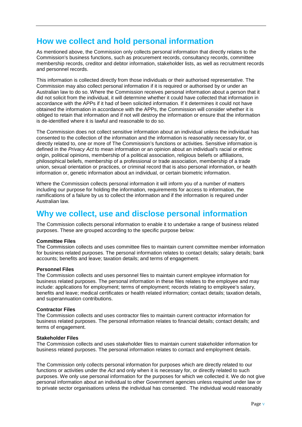## **How we collect and hold personal information**

As mentioned above, the Commission only collects personal information that directly relates to the Commission's business functions, such as procurement records, consultancy records, committee membership records, creditor and debtor information, stakeholder lists, as well as recruitment records and personnel records.

This information is collected directly from those individuals or their authorised representative. The Commission may also collect personal information if it is required or authorised by or under an Australian law to do so. Where the Commission receives personal information about a person that it did not solicit from the individual, it will determine whether it could have collected that information in accordance with the APPs if it had of been solicited information. If it determines it could not have obtained the information in accordance with the APPs, the Commission will consider whether it is obliged to retain that information and if not will destroy the information or ensure that the information is de-identified where it is lawful and reasonable to do so.

The Commission does not collect sensitive information about an individual unless the individual has consented to the collection of the information and the information is reasonably necessary for, or directly related to, one or more of The Commission's functions or activities. Sensitive information is defined in the *Privacy Act* to mean information or an opinion about an individual's racial or ethnic origin, political opinions, membership of a political association, religious beliefs or affiliations, philosophical beliefs, membership of a professional or trade association, membership of a trade union, sexual orientation or practices, or criminal record that is also personal information, or health information or, genetic information about an individual, or certain biometric information.

Where the Commission collects personal information it will inform you of a number of matters including our purpose for holding the information, requirements for access to information, the ramifications of a failure by us to collect the information and if the information is required under Australian law.

## **Why we collect, use and disclose personal information**

The Commission collects personal information to enable it to undertake a range of business related purposes. These are grouped according to the specific purpose below:

#### **Committee Files**

The Commission collects and uses committee files to maintain current committee member information for business related purposes. The personal information relates to contact details; salary details; bank accounts; benefits and leave; taxation details; and terms of engagement.

#### **Personnel Files**

The Commission collects and uses personnel files to maintain current employee information for business related purposes. The personal information in these files relates to the employee and may include: applications for employment; terms of employment; records relating to employee's salary, benefits and leave; medical certificates or health related information; contact details; taxation details, and superannuation contributions.

#### **Contractor Files**

The Commission collects and uses contractor files to maintain current contractor information for business related purposes. The personal information relates to financial details; contact details; and terms of engagement.

#### **Stakeholder Files**

The Commission collects and uses stakeholder files to maintain current stakeholder information for business related purposes. The personal information relates to contact and employment details.

The Commission only collects personal information for purposes which are directly related to our functions or activities under the *Act* and only when it is necessary for, or directly related to such purposes. We only use personal information for the purposes for which we collected it. We do not give personal information about an individual to other Government agencies unless required under law or to private sector organisations unless the individual has consented. The individual would reasonably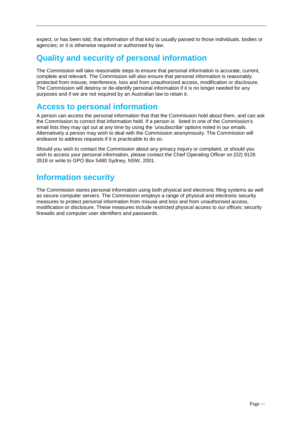expect, or has been told, that information of that kind is usually passed to those individuals, bodies or agencies; or it is otherwise required or authorised by law.

## **Quality and security of personal information**

The Commission will take reasonable steps to ensure that personal information is accurate, current, complete and relevant. The Commission will also ensure that personal information is reasonably protected from misuse, interference, loss and from unauthorized access, modification or disclosure. The Commission will destroy or de-identify personal information if it is no longer needed for any purposes and if we are not required by an Australian law to retain it.

## **Access to personal information**

A person can access the personal information that that the Commission hold about them, and can ask the Commission to correct that information held. If a person is listed in one of the Commission's email lists they may opt out at any time by using the 'unsubscribe' options noted in our emails. Alternatively a person may wish to deal with the Commission anonymously. The Commission will endeavor to address requests if it is practicable to do so.

Should you wish to contact the Commission about any privacy inquiry or complaint, or should you wish to access your personal information, please contact the Chief Operating Officer on (02) 9126 3518 or write to GPO Box 5480 Sydney, NSW, 2001.

## **Information security**

The Commission stores personal information using both physical and electronic filing systems as well as secure computer servers. The Commission employs a range of physical and electronic security measures to protect personal information from misuse and loss and from unauthorised access, modification or disclosure. These measures include restricted physical access to our offices; security firewalls and computer user identifiers and passwords.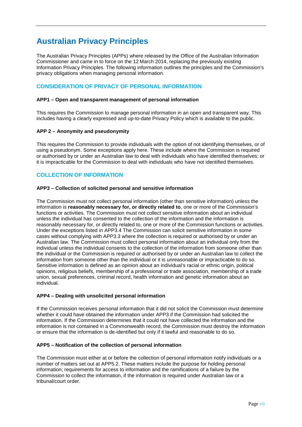## **Australian Privacy Principles**

The Australian Privacy Principles (APPs) where released by the Office of the Australian Information Commissioner and came in to force on the 12 March 2014, replacing the previously existing Information Privacy Principles. The following information outlines the principles and the Commission's privacy obligations when managing personal information.

#### **CONSIDERATION OF PRIVACY OF PERSONAL INFORMATION**

#### **APP1 – Open and transparent management of personal information**

This requires the Commission to manage personal information in an open and transparent way. This includes having a clearly expressed and up-to-date Privacy Policy which is available to the public.

#### **APP 2 – Anonymity and pseudonymity**

This requires the Commission to provide individuals with the option of not identifying themselves, or of using a pseudonym. Some exceptions apply here. These include where the Commission is required or authorised by or under an Australian law to deal with individuals who have identified themselves; or it is impracticable for the Commission to deal with individuals who have not identified themselves.

#### **COLLECTION OF INFORMATION**

#### **APP3 – Collection of solicited personal and sensitive information**

The Commission must not collect personal information (other than sensitive information) unless the information is **reasonably necessary for, or directly related to**, one or more of the Commission's functions or activities. The Commission must not collect sensitive information about an individual unless the individual has consented to the collection of the information and the information is reasonably necessary for, or directly related to, one or more of the Commission functions or activities. Under the exceptions listed in APP3.4 The Commission can solicit sensitive information in some cases without complying with APP3.3 where the collection is required or authorised by or under an Australian law. The Commission must collect personal information about an individual only from the individual unless the individual consents to the collection of the information from someone other than the individual or the Commission is required or authorised by or under an Australian law to collect the information from someone other than the individual or it is unreasonable or impracticable to do so. Sensitive information is defined as an opinion about an individual's racial or ethnic origin, political opinions, religious beliefs, membership of a professional or trade association, membership of a trade union, sexual preferences, criminal record, health information and genetic information about an individual.

#### **APP4 – Dealing with unsolicited personal information**

If the Commission receives personal information that it did not solicit the Commission must determine whether it could have obtained the information under APP3 if the Commission had solicited the information. If the Commission determines that it could not have collected the information and the information is not contained in a Commonwealth record, the Commission must destroy the information or ensure that the information is de-identified but only if it lawful and reasonable to do so.

#### **APP5 – Notification of the collection of personal information**

The Commission must either at or before the collection of personal information notify individuals or a number of matters set out at APP5.2. These matters include the purpose for holding personal information; requirements for access to information and the ramifications of a failure by the Commission to collect the information, if the information is required under Australian law or a tribunal/court order.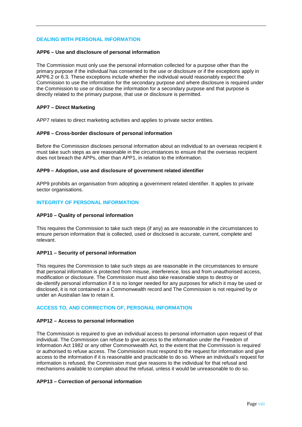#### **DEALING WITH PERSONAL INFORMATION**

#### **APP6 – Use and disclosure of personal information**

The Commission must only use the personal information collected for a purpose other than the primary purpose if the individual has consented to the use or disclosure or if the exceptions apply in APP6.2 or 6.3. These exceptions include whether the individual would reasonably expect the Commission to use the information for the secondary purpose and where disclosure is required under the Commission to use or disclose the information for a secondary purpose and that purpose is directly related to the primary purpose, that use or disclosure is permitted.

#### **APP7 – Direct Marketing**

APP7 relates to direct marketing activities and applies to private sector entities.

#### **APP8 – Cross-border disclosure of personal information**

Before the Commission discloses personal information about an individual to an overseas recipient it must take such steps as are reasonable in the circumstances to ensure that the overseas recipient does not breach the APPs, other than APP1, in relation to the information.

#### **APP9 – Adoption, use and disclosure of government related identifier**

APP9 prohibits an organisation from adopting a government related identifier. It applies to private sector organisations.

#### **INTEGRITY OF PERSONAL INFORMATION**

#### **APP10 – Quality of personal information**

This requires the Commission to take such steps (if any) as are reasonable in the circumstances to ensure person information that is collected, used or disclosed is accurate, current, complete and relevant.

#### **APP11 – Security of personal information**

This requires the Commission to take such steps as are reasonable in the circumstances to ensure that personal information is protected from misuse, interference, loss and from unauthorised access, modification or disclosure. The Commission must also take reasonable steps to destroy or de-identify personal information if it is no longer needed for any purposes for which it may be used or disclosed, it is not contained in a Commonwealth record and The Commission is not required by or under an Australian law to retain it.

#### **ACCESS TO, AND CORRECTION OF, PERSONAL INFORMATION**

#### **APP12 – Access to personal information**

The Commission is required to give an individual access to personal information upon request of that individual. The Commission can refuse to give access to the information under the Freedom of Information Act 1982 or any other Commonwealth Act, to the extent that the Commission is required or authorised to refuse access. The Commission must respond to the request for information and give access to the information if it is reasonable and practicable to do so. Where an individual's request for information is refused, the Commission must give reasons to the individual for that refusal and mechanisms available to complain about the refusal, unless it would be unreasonable to do so.

#### **APP13 – Correction of personal information**